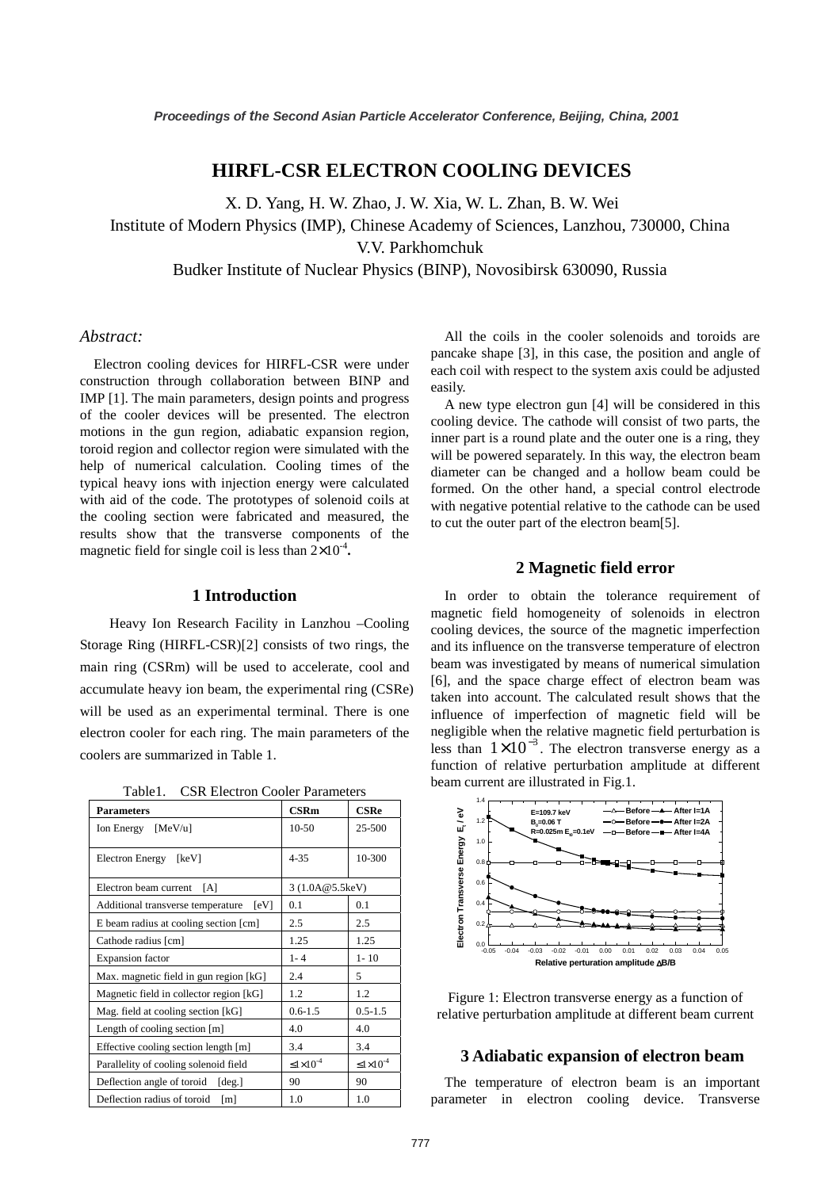# **HIRFL-CSR ELECTRON COOLING DEVICES**

X. D. Yang, H. W. Zhao, J. W. Xia, W. L. Zhan, B. W. Wei Institute of Modern Physics (IMP), Chinese Academy of Sciences, Lanzhou, 730000, China V.V. Parkhomchuk Budker Institute of Nuclear Physics (BINP), Novosibirsk 630090, Russia

# *Abstract:*

Electron cooling devices for HIRFL-CSR were under construction through collaboration between BINP and IMP [1]. The main parameters, design points and progress of the cooler devices will be presented. The electron motions in the gun region, adiabatic expansion region, toroid region and collector region were simulated with the help of numerical calculation. Cooling times of the typical heavy ions with injection energy were calculated with aid of the code. The prototypes of solenoid coils at the cooling section were fabricated and measured, the results show that the transverse components of the magnetic field for single coil is less than  $2 \times 10^{-4}$ .

### **1 Introduction**

Heavy Ion Research Facility in Lanzhou –Cooling Storage Ring (HIRFL-CSR)[2] consists of two rings, the main ring (CSRm) will be used to accelerate, cool and accumulate heavy ion beam, the experimental ring (CSRe) will be used as an experimental terminal. There is one electron cooler for each ring. The main parameters of the coolers are summarized in Table 1.

Table1. CSR Electron Cooler Parameters

| <b>Parameters</b>                         | <b>CSRm</b>             | $\bf CSRe$              |
|-------------------------------------------|-------------------------|-------------------------|
| Ion Energy [MeV/u]                        | $10-50$                 | 25-500                  |
| Electron Energy [keV]                     | $4 - 35$                | 10-300                  |
| Electron beam current<br>[A]              | 3 (1.0A@5.5keV)         |                         |
| Additional transverse temperature<br>[eV] | 0.1                     | 0.1                     |
| E beam radius at cooling section [cm]     | 2.5                     | 2.5                     |
| Cathode radius [cm]                       | 1.25                    | 1.25                    |
| <b>Expansion</b> factor                   | $1 - 4$                 | $1 - 10$                |
| Max. magnetic field in gun region [kG]    | 2.4                     | 5                       |
| Magnetic field in collector region [kG]   | 1.2                     | 1.2                     |
| Mag. field at cooling section [kG]        | $0.6 - 1.5$             | $0.5 - 1.5$             |
| Length of cooling section [m]             | 4.0                     | 4.0                     |
| Effective cooling section length [m]      | 3.4                     | 3.4                     |
| Parallelity of cooling solenoid field     | $\leq 1 \times 10^{-4}$ | $\leq 1 \times 10^{-4}$ |
| Deflection angle of toroid [deg.]         | 90                      | 90                      |
| Deflection radius of toroid<br>[m]        | 1.0                     | 1.0                     |

All the coils in the cooler solenoids and toroids are pancake shape [3], in this case, the position and angle of each coil with respect to the system axis could be adjusted easily.

A new type electron gun [4] will be considered in this cooling device. The cathode will consist of two parts, the inner part is a round plate and the outer one is a ring, they will be powered separately. In this way, the electron beam diameter can be changed and a hollow beam could be formed. On the other hand, a special control electrode with negative potential relative to the cathode can be used to cut the outer part of the electron beam[5].

# **2 Magnetic field error**

In order to obtain the tolerance requirement of magnetic field homogeneity of solenoids in electron cooling devices, the source of the magnetic imperfection and its influence on the transverse temperature of electron beam was investigated by means of numerical simulation [6], and the space charge effect of electron beam was taken into account. The calculated result shows that the influence of imperfection of magnetic field will be negligible when the relative magnetic field perturbation is less than  $1 \times 10^{-3}$ . The electron transverse energy as a function of relative perturbation amplitude at different beam current are illustrated in Fig.1.



Figure 1: Electron transverse energy as a function of relative perturbation amplitude at different beam current

# **3 Adiabatic expansion of electron beam**

The temperature of electron beam is an important parameter in electron cooling device. Transverse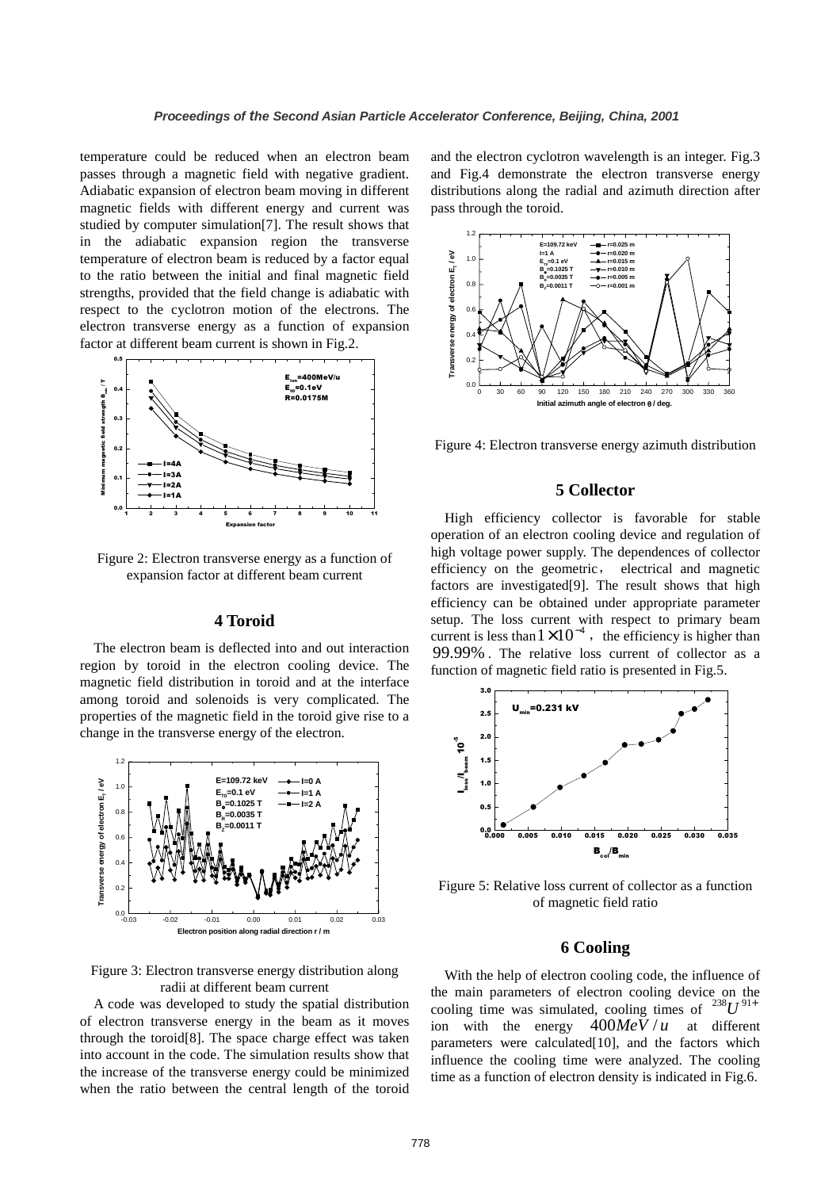temperature could be reduced when an electron beam passes through a magnetic field with negative gradient. Adiabatic expansion of electron beam moving in different magnetic fields with different energy and current was studied by computer simulation[7]. The result shows that in the adiabatic expansion region the transverse temperature of electron beam is reduced by a factor equal to the ratio between the initial and final magnetic field strengths, provided that the field change is adiabatic with respect to the cyclotron motion of the electrons. The electron transverse energy as a function of expansion factor at different beam current is shown in Fig.2.



Figure 2: Electron transverse energy as a function of expansion factor at different beam current

#### **4 Toroid**

The electron beam is deflected into and out interaction region by toroid in the electron cooling device. The magnetic field distribution in toroid and at the interface among toroid and solenoids is very complicated. The properties of the magnetic field in the toroid give rise to a change in the transverse energy of the electron.



Figure 3: Electron transverse energy distribution along radii at different beam current

A code was developed to study the spatial distribution of electron transverse energy in the beam as it moves through the toroid[8]. The space charge effect was taken into account in the code. The simulation results show that the increase of the transverse energy could be minimized when the ratio between the central length of the toroid and the electron cyclotron wavelength is an integer. Fig.3 and Fig.4 demonstrate the electron transverse energy distributions along the radial and azimuth direction after pass through the toroid.



Figure 4: Electron transverse energy azimuth distribution

#### **5 Collector**

High efficiency collector is favorable for stable operation of an electron cooling device and regulation of high voltage power supply. The dependences of collector efficiency on the geometric, electrical and magnetic factors are investigated[9]. The result shows that high efficiency can be obtained under appropriate parameter setup. The loss current with respect to primary beam current is less than  $1 \times 10^{-4}$ , the efficiency is higher than 99.99% . The relative loss current of collector as a function of magnetic field ratio is presented in Fig.5.



Figure 5: Relative loss current of collector as a function of magnetic field ratio

### **6 Cooling**

With the help of electron cooling code, the influence of the main parameters of electron cooling device on the cooling time was simulated, cooling times of  $^{238}U^{91+}$ ion with the energy  $400MeV/u$  at different parameters were calculated[10], and the factors which influence the cooling time were analyzed. The cooling time as a function of electron density is indicated in Fig.6.